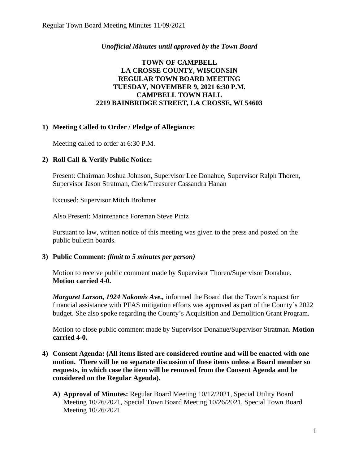## *Unofficial Minutes until approved by the Town Board*

# **TOWN OF CAMPBELL LA CROSSE COUNTY, WISCONSIN REGULAR TOWN BOARD MEETING TUESDAY, NOVEMBER 9, 2021 6:30 P.M. CAMPBELL TOWN HALL 2219 BAINBRIDGE STREET, LA CROSSE, WI 54603**

## **1) Meeting Called to Order / Pledge of Allegiance:**

Meeting called to order at 6:30 P.M.

## **2) Roll Call & Verify Public Notice:**

Present: Chairman Joshua Johnson, Supervisor Lee Donahue, Supervisor Ralph Thoren, Supervisor Jason Stratman, Clerk/Treasurer Cassandra Hanan

Excused: Supervisor Mitch Brohmer

Also Present: Maintenance Foreman Steve Pintz

Pursuant to law, written notice of this meeting was given to the press and posted on the public bulletin boards.

#### **3) Public Comment:** *(limit to 5 minutes per person)*

Motion to receive public comment made by Supervisor Thoren/Supervisor Donahue. **Motion carried 4-0.**

*Margaret Larson, 1924 Nakomis Ave.,* informed the Board that the Town's request for financial assistance with PFAS mitigation efforts was approved as part of the County's 2022 budget. She also spoke regarding the County's Acquisition and Demolition Grant Program.

Motion to close public comment made by Supervisor Donahue/Supervisor Stratman. **Motion carried 4-0.**

- **4) Consent Agenda: (All items listed are considered routine and will be enacted with one motion. There will be no separate discussion of these items unless a Board member so requests, in which case the item will be removed from the Consent Agenda and be considered on the Regular Agenda).**
	- **A) Approval of Minutes:** Regular Board Meeting 10/12/2021, Special Utility Board Meeting 10/26/2021, Special Town Board Meeting 10/26/2021, Special Town Board Meeting 10/26/2021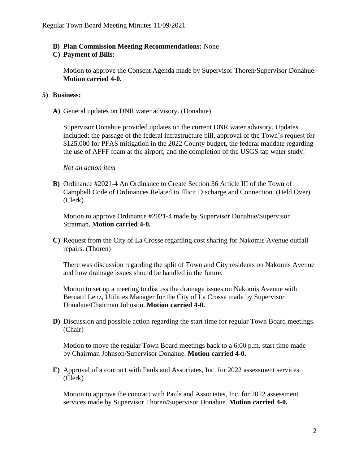#### **B) Plan Commission Meeting Recommendations:** None

### **C) Payment of Bills:**

Motion to approve the Consent Agenda made by Supervisor Thoren/Supervisor Donahue. **Motion carried 4-0.** 

### **5) Business:**

**A)** General updates on DNR water advisory. (Donahue)

Supervisor Donahue provided updates on the current DNR water advisory. Updates included: the passage of the federal infrastructure bill, approval of the Town's request for \$125,000 for PFAS mitigation in the 2022 County budget, the federal mandate regarding the use of AFFF foam at the airport, and the completion of the USGS tap water study.

*Not an action item*

**B)** Ordinance #2021-4 An Ordinance to Create Section 36 Article III of the Town of Campbell Code of Ordinances Related to Illicit Discharge and Connection. (Held Over) (Clerk)

Motion to approve Ordinance #2021-4 made by Supervisor Donahue/Supervisor Stratman. **Motion carried 4-0.**

**C)** Request from the City of La Crosse regarding cost sharing for Nakomis Avenue outfall repairs. (Thoren)

There was discussion regarding the split of Town and City residents on Nakomis Avenue and how drainage issues should be handled in the future.

Motion to set up a meeting to discuss the drainage issues on Nakomis Avenue with Bernard Lenz, Utilities Manager for the City of La Crosse made by Supervisor Donahue/Chairman Johnson. **Motion carried 4-0.**

**D)** Discussion and possible action regarding the start time for regular Town Board meetings. (Chair)

Motion to move the regular Town Board meetings back to a 6:00 p.m. start time made by Chairman Johnson/Supervisor Donahue. **Motion carried 4-0.** 

**E)** Approval of a contract with Pauls and Associates, Inc. for 2022 assessment services. (Clerk)

Motion to approve the contract with Pauls and Associates, Inc. for 2022 assessment services made by Supervisor Thoren/Supervisor Donahue. **Motion carried 4-0.**